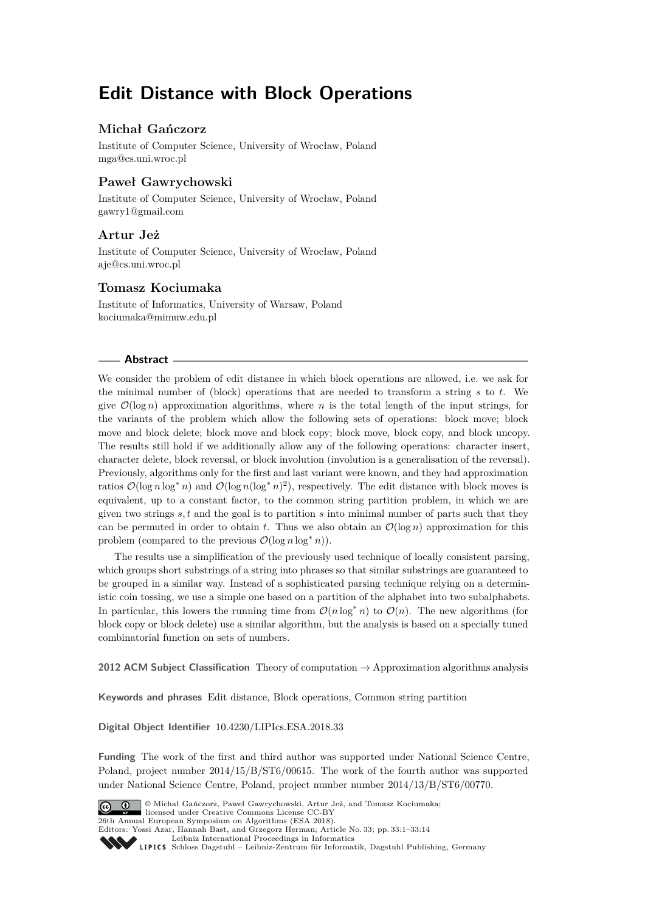# **Edit Distance with Block Operations**

# **Michał Gańczorz**

Institute of Computer Science, University of Wrocław, Poland [mga@cs.uni.wroc.pl](mailto:mga@cs.uni.wroc.pl)

# **Paweł Gawrychowski**

Institute of Computer Science, University of Wrocław, Poland [gawry1@gmail.com](mailto:gawry1@gmail.com)

# **Artur Jeż**

Institute of Computer Science, University of Wrocław, Poland [aje@cs.uni.wroc.pl](mailto:aje@cs.uni.wroc.pl)

### **Tomasz Kociumaka**

Institute of Informatics, University of Warsaw, Poland [kociumaka@mimuw.edu.pl](mailto:kociumaka@mimuw.edu.pl)

### **Abstract**

We consider the problem of edit distance in which block operations are allowed, i.e. we ask for the minimal number of (block) operations that are needed to transform a string *s* to *t*. We give  $\mathcal{O}(\log n)$  approximation algorithms, where *n* is the total length of the input strings, for the variants of the problem which allow the following sets of operations: block move; block move and block delete; block move and block copy; block move, block copy, and block uncopy. The results still hold if we additionally allow any of the following operations: character insert, character delete, block reversal, or block involution (involution is a generalisation of the reversal). Previously, algorithms only for the first and last variant were known, and they had approximation ratios  $\mathcal{O}(\log n \log^* n)$  and  $\mathcal{O}(\log n (\log^* n)^2)$ , respectively. The edit distance with block moves is equivalent, up to a constant factor, to the common string partition problem, in which we are given two strings  $s, t$  and the goal is to partition  $s$  into minimal number of parts such that they can be permuted in order to obtain  $t$ . Thus we also obtain an  $\mathcal{O}(\log n)$  approximation for this problem (compared to the previous  $\mathcal{O}(\log n \log^* n)$ ).

The results use a simplification of the previously used technique of locally consistent parsing, which groups short substrings of a string into phrases so that similar substrings are guaranteed to be grouped in a similar way. Instead of a sophisticated parsing technique relying on a deterministic coin tossing, we use a simple one based on a partition of the alphabet into two subalphabets. In particular, this lowers the running time from  $\mathcal{O}(n \log^* n)$  to  $\mathcal{O}(n)$ . The new algorithms (for block copy or block delete) use a similar algorithm, but the analysis is based on a specially tuned combinatorial function on sets of numbers.

**2012 ACM Subject Classification** Theory of computation → Approximation algorithms analysis

**Keywords and phrases** Edit distance, Block operations, Common string partition

**Digital Object Identifier** [10.4230/LIPIcs.ESA.2018.33](http://dx.doi.org/10.4230/LIPIcs.ESA.2018.33)

**Funding** The work of the first and third author was supported under National Science Centre, Poland, project number 2014/15/B/ST6/00615. The work of the fourth author was supported under National Science Centre, Poland, project number number 2014/13/B/ST6/00770.



© Michał Gańczorz, Paweł Gawrychowski, Artur Jeż, and Tomasz Kociumaka; licensed under Creative Commons License CC-BY 26th Annual European Symposium on Algorithms (ESA 2018). Editors: Yossi Azar, Hannah Bast, and Grzegorz Herman; Article No. 33; pp. 33:1–33[:14](#page-13-0) [Leibniz International Proceedings in Informatics](http://www.dagstuhl.de/lipics/)

Leibniz International Froceedings in miormatics<br>
LIPICS [Schloss Dagstuhl – Leibniz-Zentrum für Informatik, Dagstuhl Publishing, Germany](http://www.dagstuhl.de)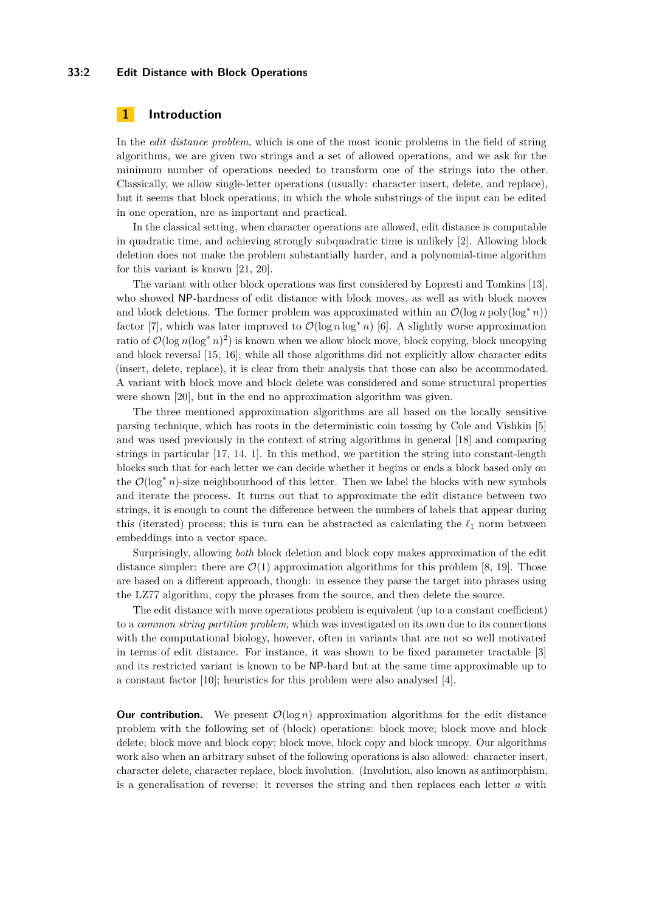#### **33:2 Edit Distance with Block Operations**

### **1 Introduction**

In the *edit distance problem*, which is one of the most iconic problems in the field of string algorithms, we are given two strings and a set of allowed operations, and we ask for the minimum number of operations needed to transform one of the strings into the other. Classically, we allow single-letter operations (usually: character insert, delete, and replace), but it seems that block operations, in which the whole substrings of the input can be edited in one operation, are as important and practical.

In the classical setting, when character operations are allowed, edit distance is computable in quadratic time, and achieving strongly subquadratic time is unlikely [\[2\]](#page-12-0). Allowing block deletion does not make the problem substantially harder, and a polynomial-time algorithm for this variant is known [\[21,](#page-13-1) [20\]](#page-13-2).

The variant with other block operations was first considered by Lopresti and Tomkins [\[13\]](#page-12-1), who showed NP-hardness of edit distance with block moves, as well as with block moves and block deletions. The former problem was approximated within an  $\mathcal{O}(\log n \text{ poly}(\log^* n))$ factor [\[7\]](#page-12-2), which was later improved to  $\mathcal{O}(\log n \log^* n)$  [\[6\]](#page-12-3). A slightly worse approximation ratio of  $\mathcal{O}(\log n(\log^* n)^2)$  is known when we allow block move, block copying, block uncopying and block reversal [\[15,](#page-12-4) [16\]](#page-13-3); while all those algorithms did not explicitly allow character edits (insert, delete, replace), it is clear from their analysis that those can also be accommodated. A variant with block move and block delete was considered and some structural properties were shown [\[20\]](#page-13-2), but in the end no approximation algorithm was given.

The three mentioned approximation algorithms are all based on the locally sensitive parsing technique, which has roots in the deterministic coin tossing by Cole and Vishkin [\[5\]](#page-12-5) and was used previously in the context of string algorithms in general [\[18\]](#page-13-4) and comparing strings in particular [\[17,](#page-13-5) [14,](#page-12-6) [1\]](#page-12-7). In this method, we partition the string into constant-length blocks such that for each letter we can decide whether it begins or ends a block based only on the O(log<sup>∗</sup> *n*)-size neighbourhood of this letter. Then we label the blocks with new symbols and iterate the process. It turns out that to approximate the edit distance between two strings, it is enough to count the difference between the numbers of labels that appear during this (iterated) process; this is turn can be abstracted as calculating the  $\ell_1$  norm between embeddings into a vector space.

Surprisingly, allowing *both* block deletion and block copy makes approximation of the edit distance simpler: there are  $\mathcal{O}(1)$  approximation algorithms for this problem [\[8,](#page-12-8) [19\]](#page-13-6). Those are based on a different approach, though: in essence they parse the target into phrases using the LZ77 algorithm, copy the phrases from the source, and then delete the source.

The edit distance with move operations problem is equivalent (up to a constant coefficient) to a *common string partition problem*, which was investigated on its own due to its connections with the computational biology, however, often in variants that are not so well motivated in terms of edit distance. For instance, it was shown to be fixed parameter tractable [\[3\]](#page-12-9) and its restricted variant is known to be NP-hard but at the same time approximable up to a constant factor [\[10\]](#page-12-10); heuristics for this problem were also analysed [\[4\]](#page-12-11).

**Our contribution.** We present  $\mathcal{O}(\log n)$  approximation algorithms for the edit distance problem with the following set of (block) operations: block move; block move and block delete; block move and block copy; block move, block copy and block uncopy. Our algorithms work also when an arbitrary subset of the following operations is also allowed: character insert, character delete, character replace, block involution. (Involution, also known as antimorphism, is a generalisation of reverse: it reverses the string and then replaces each letter *a* with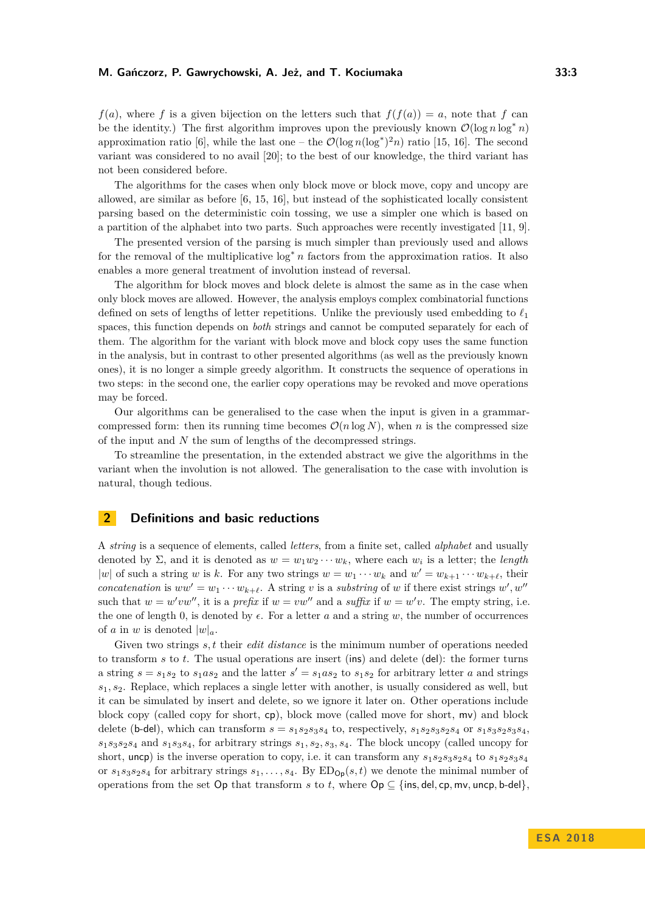#### **M. Gańczorz, P. Gawrychowski, A. Jeż, and T. Kociumaka 33:3**

 $f(a)$ , where *f* is a given bijection on the letters such that  $f(f(a)) = a$ , note that *f* can be the identity.) The first algorithm improves upon the previously known  $\mathcal{O}(\log n \log^* n)$ approximation ratio [\[6\]](#page-12-3), while the last one – the  $\mathcal{O}(\log n(\log^*)^2 n)$  ratio [\[15,](#page-12-4) [16\]](#page-13-3). The second variant was considered to no avail [\[20\]](#page-13-2); to the best of our knowledge, the third variant has not been considered before.

The algorithms for the cases when only block move or block move, copy and uncopy are allowed, are similar as before [\[6,](#page-12-3) [15,](#page-12-4) [16\]](#page-13-3), but instead of the sophisticated locally consistent parsing based on the deterministic coin tossing, we use a simpler one which is based on a partition of the alphabet into two parts. Such approaches were recently investigated [\[11,](#page-12-12) [9\]](#page-12-13).

The presented version of the parsing is much simpler than previously used and allows for the removal of the multiplicative log<sup>∗</sup> *n* factors from the approximation ratios. It also enables a more general treatment of involution instead of reversal.

The algorithm for block moves and block delete is almost the same as in the case when only block moves are allowed. However, the analysis employs complex combinatorial functions defined on sets of lengths of letter repetitions. Unlike the previously used embedding to  $\ell_1$ spaces, this function depends on *both* strings and cannot be computed separately for each of them. The algorithm for the variant with block move and block copy uses the same function in the analysis, but in contrast to other presented algorithms (as well as the previously known ones), it is no longer a simple greedy algorithm. It constructs the sequence of operations in two steps: in the second one, the earlier copy operations may be revoked and move operations may be forced.

Our algorithms can be generalised to the case when the input is given in a grammarcompressed form: then its running time becomes  $\mathcal{O}(n \log N)$ , when *n* is the compressed size of the input and *N* the sum of lengths of the decompressed strings.

To streamline the presentation, in the extended abstract we give the algorithms in the variant when the involution is not allowed. The generalisation to the case with involution is natural, though tedious.

# **2 Definitions and basic reductions**

A *string* is a sequence of elements, called *letters*, from a finite set, called *alphabet* and usually denoted by  $\Sigma$ , and it is denoted as  $w = w_1w_2 \cdots w_k$ , where each  $w_i$  is a letter; the *length* |w| of such a string *w* is *k*. For any two strings  $w = w_1 \cdots w_k$  and  $w' = w_{k+1} \cdots w_{k+\ell}$ , their *concatenation* is  $ww' = w_1 \cdots w_{k+\ell}$ . A string *v* is a *substring* of *w* if there exist strings  $w'$ ,  $w''$ such that  $w = w'vw''$ , it is a *prefix* if  $w = vw''$  and a *suffix* if  $w = w'v$ . The empty string, i.e. the one of length 0, is denoted by  $\epsilon$ . For a letter *a* and a string *w*, the number of occurrences of *a* in *w* is denoted  $|w|_a$ .

Given two strings *s, t* their *edit distance* is the minimum number of operations needed to transform *s* to *t*. The usual operations are insert (ins) and delete (del): the former turns a string  $s = s_1 s_2$  to  $s_1 a s_2$  and the latter  $s' = s_1 a s_2$  to  $s_1 s_2$  for arbitrary letter *a* and strings  $s_1, s_2$ . Replace, which replaces a single letter with another, is usually considered as well, but it can be simulated by insert and delete, so we ignore it later on. Other operations include block copy (called copy for short, cp), block move (called move for short, mv) and block delete (b-del), which can transform  $s = s_1 s_2 s_3 s_4$  to, respectively,  $s_1 s_2 s_3 s_2 s_4$  or  $s_1 s_3 s_2 s_3 s_4$ . *s*1*s*3*s*2*s*<sup>4</sup> and *s*1*s*3*s*4, for arbitrary strings *s*1*, s*2*, s*3*, s*4. The block uncopy (called uncopy for short, uncp) is the inverse operation to copy, i.e. it can transform any  $s_1s_2s_3s_2s_4$  to  $s_1s_2s_3s_4$ or  $s_1 s_3 s_2 s_4$  for arbitrary strings  $s_1, \ldots, s_4$ . By  $ED_{\mathsf{Op}}(s, t)$  we denote the minimal number of operations from the set Op that transform *s* to *t*, where  $\text{Op} \subseteq \{\text{ins}, \text{del}, \text{cp}, \text{mv}, \text{uncp}, \text{b-del}\}\$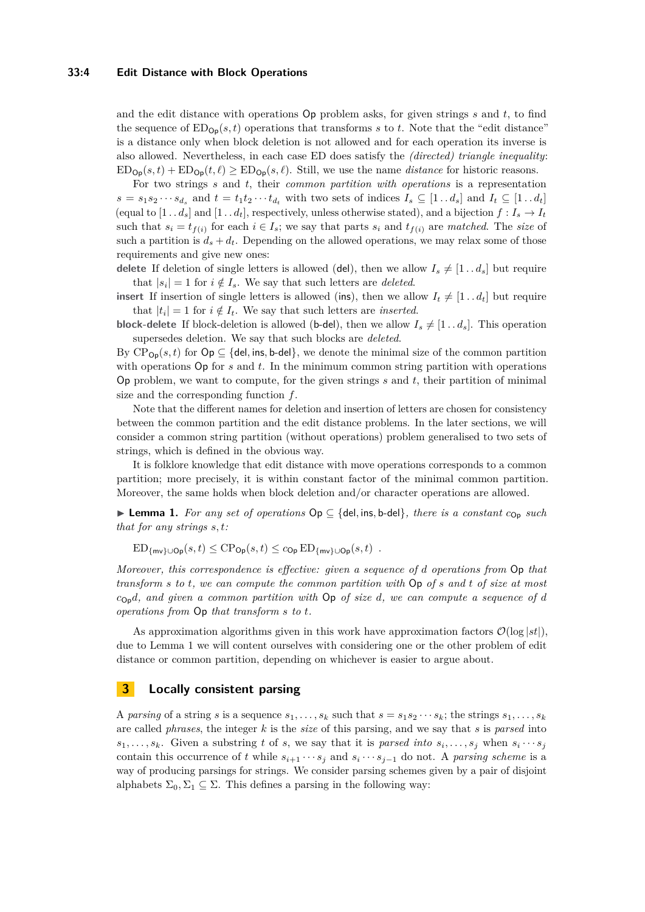#### **33:4 Edit Distance with Block Operations**

and the edit distance with operations Op problem asks, for given strings *s* and *t*, to find the sequence of  $ED_{\mathbf{Op}}(s, t)$  operations that transforms *s* to *t*. Note that the "edit distance" is a distance only when block deletion is not allowed and for each operation its inverse is also allowed. Nevertheless, in each case ED does satisfy the *(directed) triangle inequality*:  $ED_{\mathsf{Op}}(s, t) + ED_{\mathsf{Op}}(t, \ell) \geq ED_{\mathsf{Op}}(s, \ell)$ . Still, we use the name *distance* for historic reasons.

For two strings *s* and *t*, their *common partition with operations* is a representation  $s = s_1 s_2 \cdots s_{d_s}$  and  $t = t_1 t_2 \cdots t_{d_t}$  with two sets of indices  $I_s \subseteq [1 \dots d_s]$  and  $I_t \subseteq [1 \dots d_t]$ (equal to  $[1 \tldots d_s]$  and  $[1 \tldots d_t]$ , respectively, unless otherwise stated), and a bijection  $f: I_s \to I_t$ such that  $s_i = t_{f(i)}$  for each  $i \in I_s$ ; we say that parts  $s_i$  and  $t_{f(i)}$  are *matched*. The *size* of such a partition is  $d_s + d_t$ . Depending on the allowed operations, we may relax some of those requirements and give new ones:

**delete** If deletion of single letters is allowed (del), then we allow  $I_s \neq [1 \dots d_s]$  but require that  $|s_i| = 1$  for  $i \notin I_s$ . We say that such letters are *deleted*.

**insert** If insertion of single letters is allowed (ins), then we allow  $I_t \neq [1 \tcdot d_t]$  but require that  $|t_i| = 1$  for  $i \notin I_t$ . We say that such letters are *inserted*.

**block-delete** If block-deletion is allowed (b-del), then we allow  $I_s \neq [1 \tldots d_s]$ . This operation supersedes deletion. We say that such blocks are *deleted*.

By  $\text{CP}_{\text{Op}}(s, t)$  for  $\text{Op} \subseteq \{\text{del}, \text{ins}, \text{b-del}\},$  we denote the minimal size of the common partition with operations Op for *s* and *t*. In the minimum common string partition with operations Op problem, we want to compute, for the given strings *s* and *t*, their partition of minimal size and the corresponding function *f*.

Note that the different names for deletion and insertion of letters are chosen for consistency between the common partition and the edit distance problems. In the later sections, we will consider a common string partition (without operations) problem generalised to two sets of strings, which is defined in the obvious way.

It is folklore knowledge that edit distance with move operations corresponds to a common partition; more precisely, it is within constant factor of the minimal common partition. Moreover, the same holds when block deletion and/or character operations are allowed.

<span id="page-3-0"></span>I **Lemma 1.** *For any set of operations* Op ⊆ {del*,* ins*,* b-del}*, there is a constant c*Op *such that for any strings s, t:*

 $ED_{\{mv\}\cup\mathsf{Op}}(s,t) \leq CP_{\mathsf{Op}}(s,t) \leq c_{\mathsf{Op}}\,ED_{\{mv\}\cup\mathsf{Op}}(s,t)$ .

*Moreover, this correspondence is effective: given a sequence of d operations from* Op *that transform s to t, we can compute the common partition with* Op *of s and t of size at most c*Op*d, and given a common partition with* Op *of size d, we can compute a sequence of d operations from* Op *that transform s to t.*

As approximation algorithms given in this work have approximation factors  $\mathcal{O}(\log|st|)$ , due to Lemma [1](#page-3-0) we will content ourselves with considering one or the other problem of edit distance or common partition, depending on whichever is easier to argue about.

# **3 Locally consistent parsing**

A *parsing* of a string *s* is a sequence  $s_1, \ldots, s_k$  such that  $s = s_1 s_2 \cdots s_k$ ; the strings  $s_1, \ldots, s_k$ are called *phrases*, the integer *k* is the *size* of this parsing, and we say that *s* is *parsed* into  $s_1, \ldots, s_k$ . Given a substring t of *s*, we say that it is *parsed into*  $s_i, \ldots, s_j$  when  $s_i \cdots s_j$ contain this occurrence of *t* while  $s_{i+1} \cdots s_j$  and  $s_i \cdots s_{j-1}$  do not. A *parsing scheme* is a way of producing parsings for strings. We consider parsing schemes given by a pair of disjoint alphabets  $\Sigma_0, \Sigma_1 \subseteq \Sigma$ . This defines a parsing in the following way: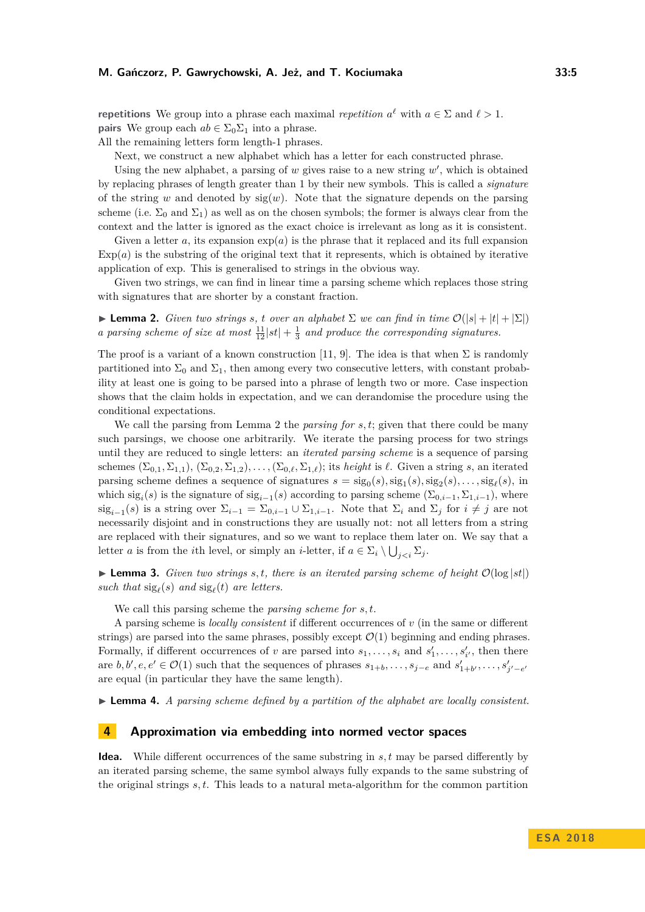*repetitions* We group into a phrase each maximal *repetition*  $a^{\ell}$  with  $a \in \Sigma$  and  $\ell > 1$ . **pairs** We group each  $ab \in \Sigma_0 \Sigma_1$  into a phrase.

All the remaining letters form length-1 phrases.

Next, we construct a new alphabet which has a letter for each constructed phrase.

Using the new alphabet, a parsing of  $w$  gives raise to a new string  $w'$ , which is obtained by replacing phrases of length greater than 1 by their new symbols. This is called a *signature* of the string *w* and denoted by  $sig(w)$ . Note that the signature depends on the parsing scheme (i.e.  $\Sigma_0$  and  $\Sigma_1$ ) as well as on the chosen symbols; the former is always clear from the context and the latter is ignored as the exact choice is irrelevant as long as it is consistent.

Given a letter *a*, its expansion  $\exp(a)$  is the phrase that it replaced and its full expansion  $Exp(a)$  is the substring of the original text that it represents, which is obtained by iterative application of exp. This is generalised to strings in the obvious way.

Given two strings, we can find in linear time a parsing scheme which replaces those string with signatures that are shorter by a constant fraction.

<span id="page-4-0"></span>**Lemma 2.** *Given two strings s*, *t over an alphabet*  $\Sigma$  *we can find in time*  $\mathcal{O}(|s| + |t| + |\Sigma|)$ *a parsing scheme of size at most*  $\frac{11}{12} |st| + \frac{1}{3}$  *and produce the corresponding signatures.* 

The proof is a variant of a known construction [\[11,](#page-12-12) [9\]](#page-12-13). The idea is that when  $\Sigma$  is randomly partitioned into  $\Sigma_0$  and  $\Sigma_1$ , then among every two consecutive letters, with constant probability at least one is going to be parsed into a phrase of length two or more. Case inspection shows that the claim holds in expectation, and we can derandomise the procedure using the conditional expectations.

We call the parsing from Lemma [2](#page-4-0) the *parsing for s, t*; given that there could be many such parsings, we choose one arbitrarily. We iterate the parsing process for two strings until they are reduced to single letters: an *iterated parsing scheme* is a sequence of parsing schemes  $(\Sigma_{0,1}, \Sigma_{1,1}), (\Sigma_{0,2}, \Sigma_{1,2}), \ldots, (\Sigma_{0,\ell}, \Sigma_{1,\ell})$ ; its *height* is  $\ell$ . Given a string *s*, an iterated parsing scheme defines a sequence of signatures  $s = \text{sig}_0(s), \text{sig}_1(s), \text{sig}_2(s), \ldots, \text{sig}_\ell(s)$ , in which  $sig_i(s)$  is the signature of  $sig_{i-1}(s)$  according to parsing scheme  $(\Sigma_{0,i-1}, \Sigma_{1,i-1})$ , where  $\text{sig}_{i-1}(s)$  is a string over  $\Sigma_{i-1} = \Sigma_{0,i-1} \cup \Sigma_{1,i-1}$ . Note that  $\Sigma_i$  and  $\Sigma_j$  for  $i \neq j$  are not necessarily disjoint and in constructions they are usually not: not all letters from a string are replaced with their signatures, and so we want to replace them later on. We say that a letter *a* is from the *i*th level, or simply an *i*-letter, if  $a \in \Sigma_i \setminus \bigcup_{j.$ 

**Lemma 3.** *Given two strings s, t, there is an iterated parsing scheme of height*  $\mathcal{O}(\log|st|)$ such that  $sig_\ell(s)$  and  $sig_\ell(t)$  are letters.

We call this parsing scheme the *parsing scheme for s, t*.

A parsing scheme is *locally consistent* if different occurrences of *v* (in the same or different strings) are parsed into the same phrases, possibly except  $\mathcal{O}(1)$  beginning and ending phrases. Formally, if different occurrences of *v* are parsed into  $s_1, \ldots, s_i$  and  $s'_1, \ldots, s'_{i'}$ , then there are  $b, b', e, e' \in \mathcal{O}(1)$  such that the sequences of phrases  $s_{1+b}, \ldots, s_{j-e}$  and  $s'_{1+b'}, \ldots, s'_{j'-e'}$ are equal (in particular they have the same length).

<span id="page-4-1"></span>► **Lemma 4.** *A parsing scheme defined by a partition of the alphabet are locally consistent.* 

### **4 Approximation via embedding into normed vector spaces**

**Idea.** While different occurrences of the same substring in *s, t* may be parsed differently by an iterated parsing scheme, the same symbol always fully expands to the same substring of the original strings *s, t*. This leads to a natural meta-algorithm for the common partition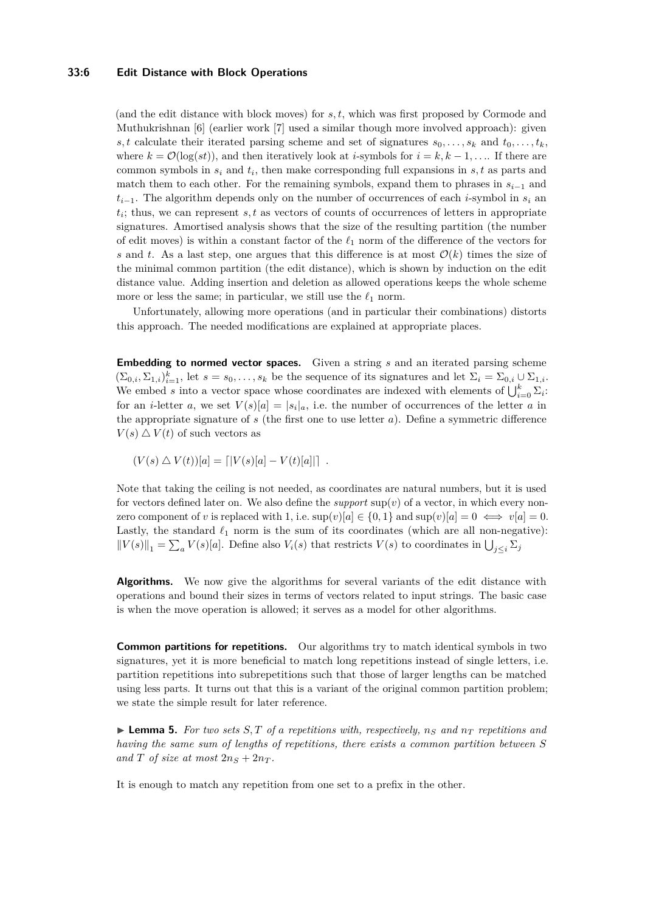#### **33:6 Edit Distance with Block Operations**

(and the edit distance with block moves) for *s, t*, which was first proposed by Cormode and Muthukrishnan [\[6\]](#page-12-3) (earlier work [\[7\]](#page-12-2) used a similar though more involved approach): given *s, t* calculate their iterated parsing scheme and set of signatures  $s_0, \ldots, s_k$  and  $t_0, \ldots, t_k$ , where  $k = \mathcal{O}(\log(st))$ , and then iteratively look at *i*-symbols for  $i = k, k - 1, \ldots$ . If there are common symbols in *s<sup>i</sup>* and *t<sup>i</sup>* , then make corresponding full expansions in *s, t* as parts and match them to each other. For the remaining symbols, expand them to phrases in  $s_{i-1}$  and  $t_{i-1}$ . The algorithm depends only on the number of occurrences of each *i*-symbol in  $s_i$  and *ti* ; thus, we can represent *s, t* as vectors of counts of occurrences of letters in appropriate signatures. Amortised analysis shows that the size of the resulting partition (the number of edit moves) is within a constant factor of the  $\ell_1$  norm of the difference of the vectors for *s* and *t*. As a last step, one argues that this difference is at most  $\mathcal{O}(k)$  times the size of the minimal common partition (the edit distance), which is shown by induction on the edit distance value. Adding insertion and deletion as allowed operations keeps the whole scheme more or less the same; in particular, we still use the  $\ell_1$  norm.

Unfortunately, allowing more operations (and in particular their combinations) distorts this approach. The needed modifications are explained at appropriate places.

**Embedding to normed vector spaces.** Given a string *s* and an iterated parsing scheme  $(\Sigma_{0,i}, \Sigma_{1,i})_{i=1}^k$ , let  $s = s_0, \ldots, s_k$  be the sequence of its signatures and let  $\Sigma_i = \Sigma_{0,i} \cup \Sigma_{1,i}$ . We embed *s* into a vector space whose coordinates are indexed with elements of  $\bigcup_{i=0}^{k} \Sigma_i$ . for an *i*-letter *a*, we set  $V(s)[a] = |s_i|_a$ , i.e. the number of occurrences of the letter *a* in the appropriate signature of *s* (the first one to use letter *a*). Define a symmetric difference  $V(s) \triangle V(t)$  of such vectors as

$$
(V(s) \triangle V(t))[a] = [|V(s)[a] - V(t)[a]|].
$$

Note that taking the ceiling is not needed, as coordinates are natural numbers, but it is used for vectors defined later on. We also define the *support*  $\sup(v)$  of a vector, in which every nonzero component of *v* is replaced with 1, i.e.  $\sup(v)[a] \in \{0, 1\}$  and  $\sup(v)[a] = 0 \iff v[a] = 0$ . Lastly, the standard  $\ell_1$  norm is the sum of its coordinates (which are all non-negative):  $||V(s)||_1 = \sum_a V(s)[a]$ . Define also  $V_i(s)$  that restricts  $V(s)$  to coordinates in  $\bigcup_{j\leq i} \sum_j$ 

**Algorithms.** We now give the algorithms for several variants of the edit distance with operations and bound their sizes in terms of vectors related to input strings. The basic case is when the move operation is allowed; it serves as a model for other algorithms.

**Common partitions for repetitions.** Our algorithms try to match identical symbols in two signatures, yet it is more beneficial to match long repetitions instead of single letters, i.e. partition repetitions into subrepetitions such that those of larger lengths can be matched using less parts. It turns out that this is a variant of the original common partition problem; we state the simple result for later reference.

<span id="page-5-0"></span> $\blacktriangleright$  **Lemma 5.** For two sets S, T of a repetitions with, respectively,  $n_S$  and  $n_T$  repetitions and *having the same sum of lengths of repetitions, there exists a common partition between S* and *T* of size at most  $2n_S + 2n_T$ .

It is enough to match any repetition from one set to a prefix in the other.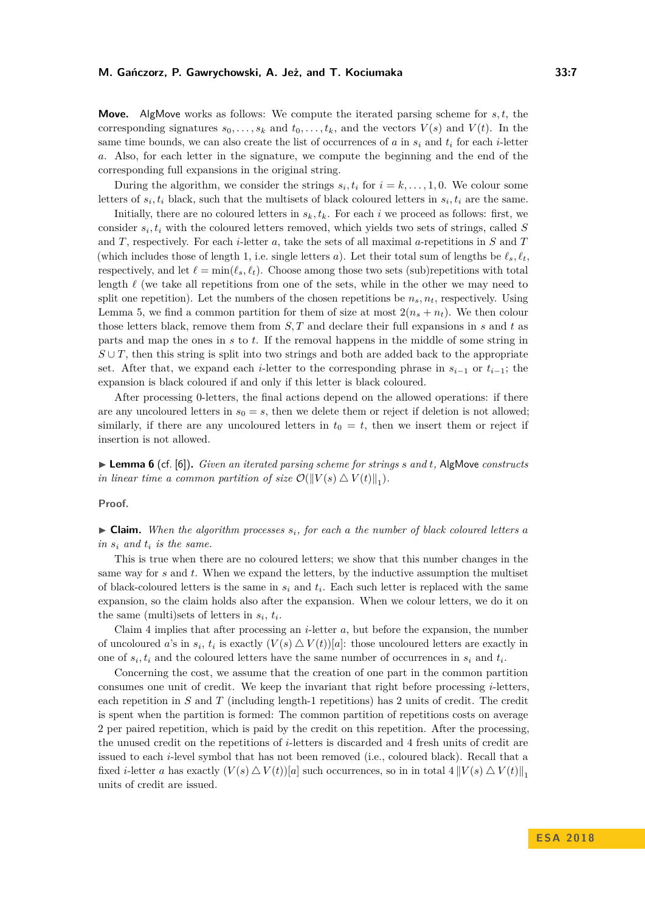**Move.** AlgMove works as follows: We compute the iterated parsing scheme for *s, t*, the corresponding signatures  $s_0, \ldots, s_k$  and  $t_0, \ldots, t_k$ , and the vectors  $V(s)$  and  $V(t)$ . In the same time bounds, we can also create the list of occurrences of *a* in  $s_i$  and  $t_i$  for each *i*-letter *a*. Also, for each letter in the signature, we compute the beginning and the end of the corresponding full expansions in the original string.

During the algorithm, we consider the strings  $s_i, t_i$  for  $i = k, \ldots, 1, 0$ . We colour some letters of  $s_i, t_i$  black, such that the multisets of black coloured letters in  $s_i, t_i$  are the same.

Initially, there are no coloured letters in  $s_k, t_k$ . For each *i* we proceed as follows: first, we consider *s<sup>i</sup> , t<sup>i</sup>* with the coloured letters removed, which yields two sets of strings, called *S* and *T*, respectively. For each *i*-letter *a*, take the sets of all maximal *a*-repetitions in *S* and *T* (which includes those of length 1, i.e. single letters *a*). Let their total sum of lengths be  $\ell_s$ ,  $\ell_t$ , respectively, and let  $\ell = \min(\ell_s, \ell_t)$ . Choose among those two sets (sub)repetitions with total length  $\ell$  (we take all repetitions from one of the sets, while in the other we may need to split one repetition). Let the numbers of the chosen repetitions be  $n_s, n_t$ , respectively. Using Lemma [5,](#page-5-0) we find a common partition for them of size at most  $2(n_s + n_t)$ . We then colour those letters black, remove them from *S, T* and declare their full expansions in *s* and *t* as parts and map the ones in *s* to *t*. If the removal happens in the middle of some string in  $S \cup T$ , then this string is split into two strings and both are added back to the appropriate set. After that, we expand each *i*-letter to the corresponding phrase in  $s_{i-1}$  or  $t_{i-1}$ ; the expansion is black coloured if and only if this letter is black coloured.

After processing 0-letters, the final actions depend on the allowed operations: if there are any uncoloured letters in  $s_0 = s$ , then we delete them or reject if deletion is not allowed; similarly, if there are any uncoloured letters in  $t_0 = t$ , then we insert them or reject if insertion is not allowed.

<span id="page-6-0"></span>I **Lemma 6** (cf. [\[6\]](#page-12-3))**.** *Given an iterated parsing scheme for strings s and t,* AlgMove *constructs in linear time a common partition of size*  $\mathcal{O}(\Vert V(s) \triangle V(t) \Vert_1)$ .

**Proof.**

 $\triangleright$  **Claim.** When the algorithm processes  $s_i$ , for each a the number of black coloured letters a *in s<sup>i</sup> and t<sup>i</sup> is the same.*

This is true when there are no coloured letters; we show that this number changes in the same way for *s* and *t*. When we expand the letters, by the inductive assumption the multiset of black-coloured letters is the same in  $s_i$  and  $t_i$ . Each such letter is replaced with the same expansion, so the claim holds also after the expansion. When we colour letters, we do it on the same (multi)sets of letters in  $s_i$ ,  $t_i$ .

Claim [4](#page-6-0) implies that after processing an *i*-letter *a*, but before the expansion, the number of uncoloured *a*'s in  $s_i$ ,  $t_i$  is exactly  $(V(s) \triangle V(t))[a]$ : those uncoloured letters are exactly in one of  $s_i, t_i$  and the coloured letters have the same number of occurrences in  $s_i$  and  $t_i$ .

Concerning the cost, we assume that the creation of one part in the common partition consumes one unit of credit. We keep the invariant that right before processing *i*-letters, each repetition in *S* and *T* (including length-1 repetitions) has 2 units of credit. The credit is spent when the partition is formed: The common partition of repetitions costs on average 2 per paired repetition, which is paid by the credit on this repetition. After the processing, the unused credit on the repetitions of *i*-letters is discarded and 4 fresh units of credit are issued to each *i*-level symbol that has not been removed (i.e., coloured black). Recall that a fixed *i*-letter *a* has exactly  $(V(s) \Delta V(t))[a]$  such occurrences, so in in total  $4 ||V(s) \Delta V(t)||_1$ units of credit are issued.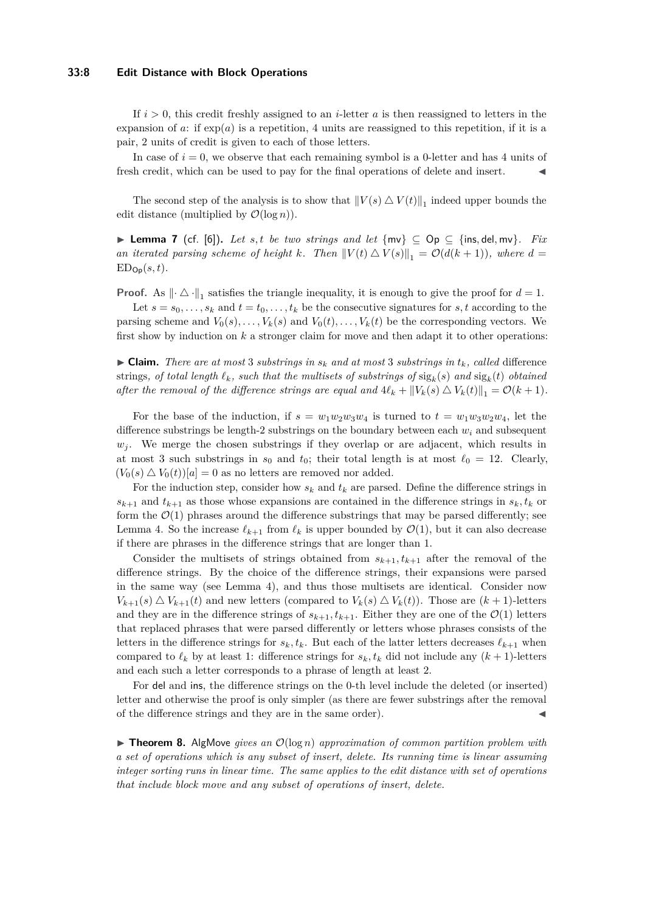#### **33:8 Edit Distance with Block Operations**

If *i >* 0, this credit freshly assigned to an *i*-letter *a* is then reassigned to letters in the expansion of  $a$ : if  $exp(a)$  is a repetition, 4 units are reassigned to this repetition, if it is a pair, 2 units of credit is given to each of those letters.

In case of  $i = 0$ , we observe that each remaining symbol is a 0-letter and has 4 units of fresh credit, which can be used to pay for the final operations of delete and insert.

The second step of the analysis is to show that  $||V(s) \triangle V(t)||_1$  indeed upper bounds the edit distance (multiplied by  $\mathcal{O}(\log n)$ ).

<span id="page-7-0"></span>**► Lemma 7** (cf. [\[6\]](#page-12-3)). Let s, t be two strings and let  $\{mv\} \subseteq Op \subseteq \{ins, del, mv\}$ . Fix *an iterated parsing scheme of height k.* Then  $||V(t) \triangle V(s)||_1 = \mathcal{O}(d(k+1))$ , where  $d =$  $ED_{\mathsf{Op}}(s,t)$ .

**Proof.** As  $\|\cdot \Delta \cdot\|_1$  satisfies the triangle inequality, it is enough to give the proof for  $d = 1$ .

Let  $s = s_0, \ldots, s_k$  and  $t = t_0, \ldots, t_k$  be the consecutive signatures for  $s, t$  according to the parsing scheme and  $V_0(s), \ldots, V_k(s)$  and  $V_0(t), \ldots, V_k(t)$  be the corresponding vectors. We first show by induction on *k* a stronger claim for move and then adapt it to other operations:

 $\triangleright$  **Claim.** There are at most 3 substrings in  $s_k$  and at most 3 substrings in  $t_k$ , called difference  $\int$ strings*, of total length*  $\ell_k$ *, such that the multisets of substrings of*  $\operatorname{sig}_k(s)$  *and*  $\operatorname{sig}_k(t)$  *obtained after the removal of the difference strings are equal and*  $4\ell_k + ||V_k(s) \triangle V_k(t)||_1 = \mathcal{O}(k+1)$ *.* 

For the base of the induction, if  $s = w_1w_2w_3w_4$  is turned to  $t = w_1w_3w_2w_4$ , let the difference substrings be length-2 substrings on the boundary between each  $w_i$  and subsequent  $w_i$ . We merge the chosen substrings if they overlap or are adjacent, which results in at most 3 such substrings in  $s_0$  and  $t_0$ ; their total length is at most  $\ell_0 = 12$ . Clearly,  $(V_0(s) \triangle V_0(t))[a] = 0$  as no letters are removed nor added.

For the induction step, consider how  $s_k$  and  $t_k$  are parsed. Define the difference strings in  $s_{k+1}$  and  $t_{k+1}$  as those whose expansions are contained in the difference strings in  $s_k, t_k$  or form the  $\mathcal{O}(1)$  phrases around the difference substrings that may be parsed differently; see Lemma [4.](#page-4-1) So the increase  $\ell_{k+1}$  from  $\ell_k$  is upper bounded by  $\mathcal{O}(1)$ , but it can also decrease if there are phrases in the difference strings that are longer than 1.

Consider the multisets of strings obtained from  $s_{k+1}, t_{k+1}$  after the removal of the difference strings. By the choice of the difference strings, their expansions were parsed in the same way (see Lemma [4\)](#page-4-1), and thus those multisets are identical. Consider now  $V_{k+1}(s) \triangle V_{k+1}(t)$  and new letters (compared to  $V_k(s) \triangle V_k(t)$ ). Those are  $(k+1)$ -letters and they are in the difference strings of  $s_{k+1}, t_{k+1}$ . Either they are one of the  $\mathcal{O}(1)$  letters that replaced phrases that were parsed differently or letters whose phrases consists of the letters in the difference strings for  $s_k, t_k$ . But each of the latter letters decreases  $\ell_{k+1}$  when compared to  $\ell_k$  by at least 1: difference strings for  $s_k, t_k$  did not include any  $(k + 1)$ -letters and each such a letter corresponds to a phrase of length at least 2.

For del and ins, the difference strings on the 0-th level include the deleted (or inserted) letter and otherwise the proof is only simpler (as there are fewer substrings after the removal of the difference strings and they are in the same order).

**Findmen 8.** AlgMove *gives an*  $\mathcal{O}(\log n)$  *approximation of common partition problem with a set of operations which is any subset of insert, delete. Its running time is linear assuming integer sorting runs in linear time. The same applies to the edit distance with set of operations that include block move and any subset of operations of insert, delete.*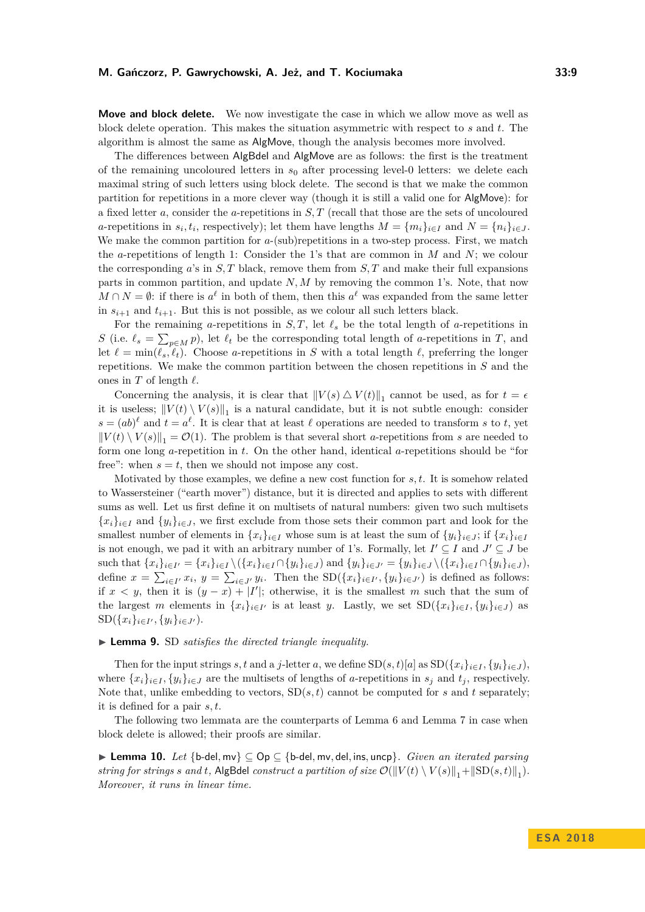**Move and block delete.** We now investigate the case in which we allow move as well as block delete operation. This makes the situation asymmetric with respect to *s* and *t*. The algorithm is almost the same as AlgMove, though the analysis becomes more involved.

The differences between AlgBdel and AlgMove are as follows: the first is the treatment of the remaining uncoloured letters in *s*<sup>0</sup> after processing level-0 letters: we delete each maximal string of such letters using block delete. The second is that we make the common partition for repetitions in a more clever way (though it is still a valid one for AlgMove): for a fixed letter *a*, consider the *a*-repetitions in *S, T* (recall that those are the sets of uncoloured *a*-repetitions in  $s_i, t_i$ , respectively); let them have lengths  $M = \{m_i\}_{i \in I}$  and  $N = \{n_i\}_{i \in J}$ . We make the common partition for *a*-(sub)repetitions in a two-step process. First, we match the *a*-repetitions of length 1: Consider the 1's that are common in *M* and *N*; we colour the corresponding  $a$ 's in  $S$ ,  $T$  black, remove them from  $S$ ,  $T$  and make their full expansions parts in common partition, and update *N, M* by removing the common 1's. Note, that now  $M \cap N = \emptyset$ : if there is  $a^{\ell}$  in both of them, then this  $a^{\ell}$  was expanded from the same letter in  $s_{i+1}$  and  $t_{i+1}$ . But this is not possible, as we colour all such letters black.

For the remaining *a*-repetitions in *S*, *T*, let  $\ell_s$  be the total length of *a*-repetitions in *S* (i.e.  $\ell_s = \sum_{p \in M} p$ ), let  $\ell_t$  be the corresponding total length of *a*-repetitions in *T*, and let  $\ell = \min(\ell_s, \ell_t)$ . Choose *a*-repetitions in *S* with a total length  $\ell$ , preferring the longer repetitions. We make the common partition between the chosen repetitions in *S* and the ones in  $T$  of length  $\ell$ .

Concerning the analysis, it is clear that  $||V(s) \triangle V(t)||_1$  cannot be used, as for  $t = \epsilon$ it is useless;  $||V(t) \setminus V(s)||_1$  is a natural candidate, but it is not subtle enough: consider  $s = (ab)^{\ell}$  and  $t = a^{\ell}$ . It is clear that at least  $\ell$  operations are needed to transform *s* to *t*, yet  $||V(t) \setminus V(s)||_1 = \mathcal{O}(1)$ . The problem is that several short *a*-repetitions from *s* are needed to form one long *a*-repetition in *t*. On the other hand, identical *a*-repetitions should be "for free": when  $s = t$ , then we should not impose any cost.

Motivated by those examples, we define a new cost function for *s, t*. It is somehow related to Wassersteiner ("earth mover") distance, but it is directed and applies to sets with different sums as well. Let us first define it on multisets of natural numbers: given two such multisets  ${x_i}_{i \in I}$  and  ${y_i}_{i \in J}$ , we first exclude from those sets their common part and look for the smallest number of elements in  $\{x_i\}_{i \in I}$  whose sum is at least the sum of  $\{y_i\}_{i \in J}$ ; if  $\{x_i\}_{i \in I}$ is not enough, we pad it with an arbitrary number of 1's. Formally, let  $I' \subseteq I$  and  $J' \subseteq J$  be such that  $\{x_i\}_{i\in I'} = \{x_i\}_{i\in I} \setminus (\{x_i\}_{i\in I} \cap \{y_i\}_{i\in J})$  and  $\{y_i\}_{i\in J'} = \{y_i\}_{i\in J} \setminus (\{x_i\}_{i\in I} \cap \{y_i\}_{i\in J}),$ define  $x = \sum_{i \in I'} x_i$ ,  $y = \sum_{i \in J'} y_i$ . Then the  $SD(\{x_i\}_{i \in I'}, \{y_i\}_{i \in J'})$  is defined as follows: if  $x < y$ , then it is  $(y - x) + |I'|$ ; otherwise, it is the smallest *m* such that the sum of the largest *m* elements in  $\{x_i\}_{i\in I'}$  is at least *y*. Lastly, we set  $SD(\{x_i\}_{i\in I}, \{y_i\}_{i\in J})$  as  $SD({x_i}_{i \in I'}, {y_i}_{i \in J'})$ .

#### ▶ **Lemma 9.** SD *satisfies the directed triangle inequality.*

Then for the input strings *s*, t and a *j*-letter *a*, we define  $SD(s,t)[a]$  as  $SD({x_i}_{i\in I}, {y_i}_{i\in J})$ , where  $\{x_i\}_{i\in I}, \{y_i\}_{i\in J}$  are the multisets of lengths of *a*-repetitions in  $s_j$  and  $t_j$ , respectively. Note that, unlike embedding to vectors,  $SD(s, t)$  cannot be computed for *s* and *t* separately; it is defined for a pair *s, t*.

The following two lemmata are the counterparts of Lemma [6](#page-6-0) and Lemma [7](#page-7-0) in case when block delete is allowed; their proofs are similar.

<span id="page-8-0"></span>I **Lemma 10.** *Let* {b-del*,* mv} ⊆ Op ⊆ {b-del*,* mv*,* del*,* ins*,* uncp}*. Given an iterated parsing string for strings s* and *t*, AlgBdel *construct a partition of size*  $\mathcal{O}(\|V(t) \setminus V(s)\|_1 + \|\text{SD}(s, t)\|_1)$ . *Moreover, it runs in linear time.*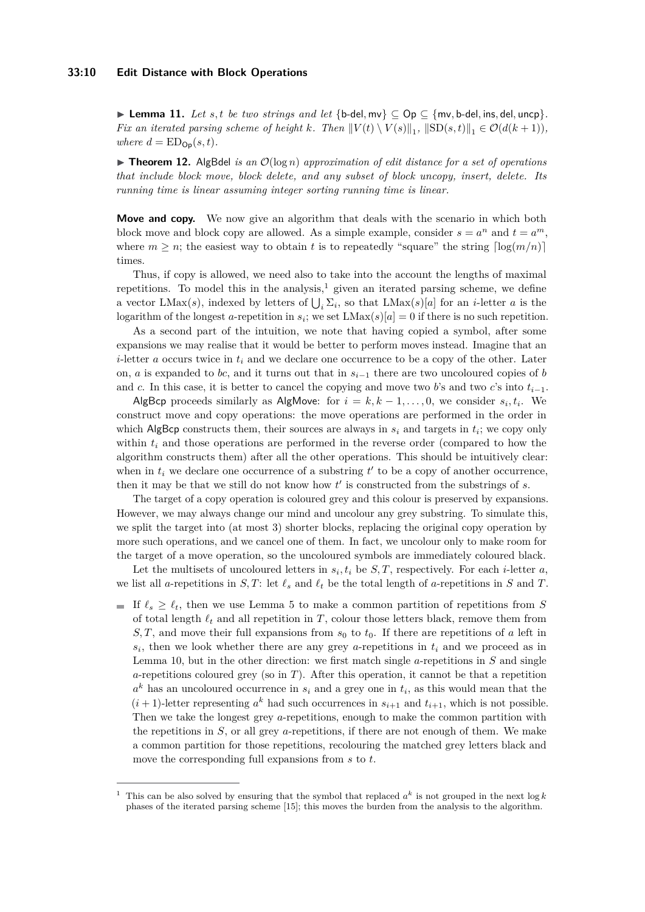#### **33:10 Edit Distance with Block Operations**

<span id="page-9-1"></span>**► Lemma 11.** *Let s, t be two strings and let* {b-del, mv}  $\subseteq$  Op  $\subseteq$  {mv, b-del, ins, del, uncp}. *Fix an iterated parsing scheme of height k. Then*  $||V(t) \setminus V(s)||_1$ ,  $||SD(s,t)||_1 \in \mathcal{O}(d(k+1))$ *, where*  $d = ED_{\text{On}}(s, t)$ .

▶ Theorem 12. AlgBdel *is an*  $O(log n)$  *approximation of edit distance for a set of operations that include block move, block delete, and any subset of block uncopy, insert, delete. Its running time is linear assuming integer sorting running time is linear.*

**Move and copy.** We now give an algorithm that deals with the scenario in which both block move and block copy are allowed. As a simple example, consider  $s = a^n$  and  $t = a^m$ , where  $m \geq n$ ; the easiest way to obtain t is to repeatedly "square" the string  $\lceil \log(m/n) \rceil$ times.

Thus, if copy is allowed, we need also to take into the account the lengths of maximal repetitions. To model this in the analysis, $\frac{1}{2}$  $\frac{1}{2}$  $\frac{1}{2}$  given an iterated parsing scheme, we define a vector  $LMax(s)$ , indexed by letters of  $\bigcup_i \Sigma_i$ , so that  $LMax(s)[a]$  for an *i*-letter *a* is the logarithm of the longest *a*-repetition in  $s_i$ ; we set  $LMax(s)[a] = 0$  if there is no such repetition.

As a second part of the intuition, we note that having copied a symbol, after some expansions we may realise that it would be better to perform moves instead. Imagine that an *i*-letter *a* occurs twice in *t<sup>i</sup>* and we declare one occurrence to be a copy of the other. Later on, *a* is expanded to *bc*, and it turns out that in *si*−<sup>1</sup> there are two uncoloured copies of *b* and *c*. In this case, it is better to cancel the copying and move two *b*'s and two *c*'s into  $t_{i-1}$ .

AlgBcp proceeds similarly as AlgMove: for  $i = k, k - 1, \ldots, 0$ , we consider  $s_i, t_i$ . We construct move and copy operations: the move operations are performed in the order in which AlgBcp constructs them, their sources are always in  $s_i$  and targets in  $t_i$ ; we copy only within  $t_i$  and those operations are performed in the reverse order (compared to how the algorithm constructs them) after all the other operations. This should be intuitively clear: when in  $t_i$  we declare one occurrence of a substring  $t'$  to be a copy of another occurrence, then it may be that we still do not know how  $t'$  is constructed from the substrings of  $s$ .

The target of a copy operation is coloured grey and this colour is preserved by expansions. However, we may always change our mind and uncolour any grey substring. To simulate this, we split the target into (at most 3) shorter blocks, replacing the original copy operation by more such operations, and we cancel one of them. In fact, we uncolour only to make room for the target of a move operation, so the uncoloured symbols are immediately coloured black.

Let the multisets of uncoloured letters in  $s_i, t_i$  be  $S, T$ , respectively. For each *i*-letter *a*, we list all *a*-repetitions in *S*, *T*: let  $\ell_s$  and  $\ell_t$  be the total length of *a*-repetitions in *S* and *T*.

If  $\ell_s \geq \ell_t$ , then we use Lemma [5](#page-5-0) to make a common partition of repetitions from *S* of total length  $\ell_t$  and all repetition in *T*, colour those letters black, remove them from  $S, T$ , and move their full expansions from  $s_0$  to  $t_0$ . If there are repetitions of *a* left in  $s_i$ , then we look whether there are any grey *a*-repetitions in  $t_i$  and we proceed as in Lemma [10,](#page-8-0) but in the other direction: we first match single *a*-repetitions in *S* and single *a*-repetitions coloured grey (so in *T*). After this operation, it cannot be that a repetition  $a^k$  has an uncoloured occurrence in  $s_i$  and a grey one in  $t_i$ , as this would mean that the  $(i+1)$ -letter representing  $a^k$  had such occurrences in  $s_{i+1}$  and  $t_{i+1}$ , which is not possible. Then we take the longest grey *a*-repetitions, enough to make the common partition with the repetitions in *S*, or all grey *a*-repetitions, if there are not enough of them. We make a common partition for those repetitions, recolouring the matched grey letters black and move the corresponding full expansions from *s* to *t*.

<span id="page-9-0"></span><sup>&</sup>lt;sup>1</sup> This can be also solved by ensuring that the symbol that replaced  $a^k$  is not grouped in the next log *k* phases of the iterated parsing scheme [\[15\]](#page-12-4); this moves the burden from the analysis to the algorithm.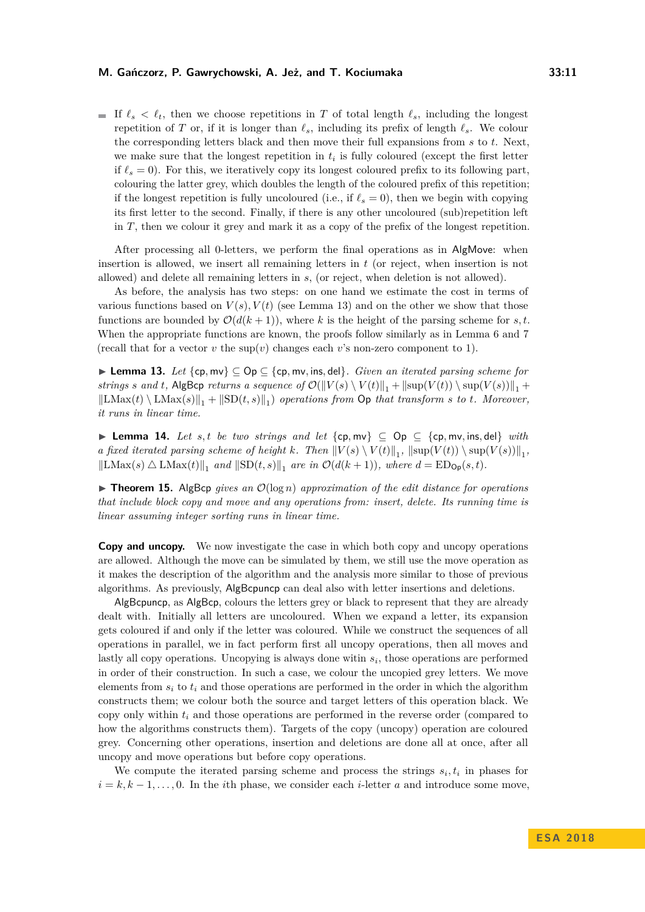#### **M. Gańczorz, P. Gawrychowski, A. Jeż, and T. Kociumaka 33:11**

If  $\ell_s < \ell_t$ , then we choose repetitions in *T* of total length  $\ell_s$ , including the longest repetition of *T* or, if it is longer than  $\ell_s$ , including its prefix of length  $\ell_s$ . We colour the corresponding letters black and then move their full expansions from *s* to *t*. Next, we make sure that the longest repetition in  $t_i$  is fully coloured (except the first letter if  $\ell_s = 0$ ). For this, we iteratively copy its longest coloured prefix to its following part, colouring the latter grey, which doubles the length of the coloured prefix of this repetition; if the longest repetition is fully uncoloured (i.e., if  $\ell_s = 0$ ), then we begin with copying its first letter to the second. Finally, if there is any other uncoloured (sub)repetition left in *T*, then we colour it grey and mark it as a copy of the prefix of the longest repetition.

After processing all 0-letters, we perform the final operations as in AlgMove: when insertion is allowed, we insert all remaining letters in *t* (or reject, when insertion is not allowed) and delete all remaining letters in *s*, (or reject, when deletion is not allowed).

As before, the analysis has two steps: on one hand we estimate the cost in terms of various functions based on  $V(s)$ ,  $V(t)$  (see Lemma [13\)](#page-10-0) and on the other we show that those functions are bounded by  $\mathcal{O}(d(k+1))$ , where *k* is the height of the parsing scheme for *s*, *t*. When the appropriate functions are known, the proofs follow similarly as in Lemma [6](#page-6-0) and [7](#page-7-0) (recall that for a vector  $v$  the sup( $v$ ) changes each  $v$ 's non-zero component to 1).

<span id="page-10-0"></span>I **Lemma 13.** *Let* {cp*,* mv} ⊆ Op ⊆ {cp*,* mv*,* ins*,* del}*. Given an iterated parsing scheme for strings s* and *t*, AlgBcp *returns* a sequence of  $\mathcal{O}(\|V(s) \setminus V(t)\|_1 + \|\text{sup}(V(t)) \setminus \text{sup}(V(s))\|_1 +$  $\|\text{LMax}(t) \setminus \text{LMax}(s)\|_1 + \|\text{SD}(t, s)\|_1$  operations from  $\text{Op } that$  transform  $s$  to  $t$ *. Moreover, it runs in linear time.*

<span id="page-10-1"></span>**► Lemma 14.** Let s, t be two strings and let  $\{cp, mv\}$   $\subseteq$  Op  $\subseteq$   $\{cp, mv, ins, del\}$  *with a* fixed iterated parsing scheme of height *k*. Then  $||V(s) \setminus V(t)||_1$ ,  $||\sup(V(t)) \setminus \sup(V(s))||_1$ ,  $\|\text{LMax}(s) \triangle \text{LMax}(t)\|_1$  and  $\|\text{SD}(t, s)\|_1$  are in  $\mathcal{O}(d(k+1))$ , where  $d = \text{ED}_{\text{Op}}(s, t)$ .

 $\triangleright$  **Theorem 15.** AlgBcp *gives an*  $\mathcal{O}(\log n)$  *approximation of the edit distance for operations that include block copy and move and any operations from: insert, delete. Its running time is linear assuming integer sorting runs in linear time.*

**Copy and uncopy.** We now investigate the case in which both copy and uncopy operations are allowed. Although the move can be simulated by them, we still use the move operation as it makes the description of the algorithm and the analysis more similar to those of previous algorithms. As previously, AlgBcpuncp can deal also with letter insertions and deletions.

AlgBcpuncp, as AlgBcp, colours the letters grey or black to represent that they are already dealt with. Initially all letters are uncoloured. When we expand a letter, its expansion gets coloured if and only if the letter was coloured. While we construct the sequences of all operations in parallel, we in fact perform first all uncopy operations, then all moves and lastly all copy operations. Uncopying is always done witin  $s_i$ , those operations are performed in order of their construction. In such a case, we colour the uncopied grey letters. We move elements from *s<sup>i</sup>* to *t<sup>i</sup>* and those operations are performed in the order in which the algorithm constructs them; we colour both the source and target letters of this operation black. We copy only within *t<sup>i</sup>* and those operations are performed in the reverse order (compared to how the algorithms constructs them). Targets of the copy (uncopy) operation are coloured grey. Concerning other operations, insertion and deletions are done all at once, after all uncopy and move operations but before copy operations.

We compute the iterated parsing scheme and process the strings  $s_i, t_i$  in phases for  $i = k, k - 1, \ldots, 0$ . In the *i*th phase, we consider each *i*-letter *a* and introduce some move,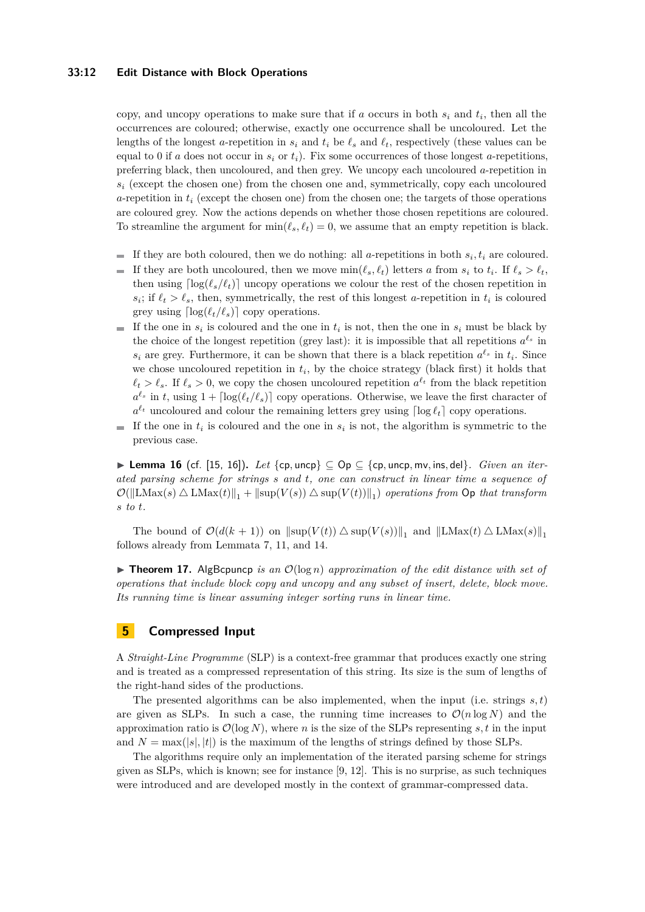#### **33:12 Edit Distance with Block Operations**

copy, and uncopy operations to make sure that if *a* occurs in both *s<sup>i</sup>* and *t<sup>i</sup>* , then all the occurrences are coloured; otherwise, exactly one occurrence shall be uncoloured. Let the lengths of the longest *a*-repetition in  $s_i$  and  $t_i$  be  $\ell_s$  and  $\ell_t$ , respectively (these values can be equal to 0 if *a* does not occur in  $s_i$  or  $t_i$ ). Fix some occurrences of those longest *a*-repetitions, preferring black, then uncoloured, and then grey. We uncopy each uncoloured *a*-repetition in  $s_i$  (except the chosen one) from the chosen one and, symmetrically, copy each uncoloured *a*-repetition in *t<sup>i</sup>* (except the chosen one) from the chosen one; the targets of those operations are coloured grey. Now the actions depends on whether those chosen repetitions are coloured. To streamline the argument for  $\min(\ell_s, \ell_t) = 0$ , we assume that an empty repetition is black.

- If they are both coloured, then we do nothing: all *a*-repetitions in both  $s_i, t_i$  are coloured. m.
- $\overline{a}$ If they are both uncoloured, then we move  $\min(\ell_s, \ell_t)$  letters *a* from  $s_i$  to  $t_i$ . If  $\ell_s > \ell_t$ , then using  $\lceil \log(\ell_s/\ell_t) \rceil$  uncopy operations we colour the rest of the chosen repetition in  $s_i$ ; if  $\ell_t > \ell_s$ , then, symmetrically, the rest of this longest *a*-repetition in  $t_i$  is coloured grey using  $\lceil \log(\ell_t/\ell_s) \rceil$  copy operations.
- If the one in  $s_i$  is coloured and the one in  $t_i$  is not, then the one in  $s_i$  must be black by the choice of the longest repetition (grey last): it is impossible that all repetitions  $a^{\ell_s}$  in  $s_i$  are grey. Furthermore, it can be shown that there is a black repetition  $a^{\ell_s}$  in  $t_i$ . Since we chose uncoloured repetition in  $t_i$ , by the choice strategy (black first) it holds that  $\ell_t > \ell_s$ . If  $\ell_s > 0$ , we copy the chosen uncoloured repetition  $a^{\ell_t}$  from the black repetition  $a^{\ell_s}$  in *t*, using  $1 + \lceil \log(\ell_t/\ell_s) \rceil$  copy operations. Otherwise, we leave the first character of  $a^{\ell_t}$  uncoloured and colour the remaining letters grey using  $\lceil \log \ell_t \rceil$  copy operations.
- If the one in  $t_i$  is coloured and the one in  $s_i$  is not, the algorithm is symmetric to the  $\mathcal{L}_{\mathcal{A}}$ previous case.

**► Lemma 16** (cf. [\[15,](#page-12-4) [16\]](#page-13-3)). Let  $\{cp, \text{uncp}\}\subseteq \text{Op} \subseteq \{cp, \text{uncp}, \text{mv}, \text{ins}, \text{del}\}\$ . Given an iter*ated parsing scheme for strings s and t, one can construct in linear time a sequence of*  $\mathcal{O}(\|\text{LMax}(s) \triangle \text{LMax}(t)\|_1 + \|\text{sup}(V(s)) \triangle \text{sup}(V(t))\|_1)$  operations from  $\text{Op } that\ transform$ *s to t.*

The bound of  $\mathcal{O}(d(k+1))$  on  $\|\text{sup}(V(t)) \triangle \text{sup}(V(s))\|_1$  and  $\|\text{LMax}(t) \triangle \text{LMax}(s)\|_1$ follows already from Lemmata [7,](#page-7-0) [11,](#page-9-1) and [14.](#page-10-1)

**Findmer 17.** AlgBcpuncp *is an*  $\mathcal{O}(\log n)$  *approximation of the edit distance with set of operations that include block copy and uncopy and any subset of insert, delete, block move. Its running time is linear assuming integer sorting runs in linear time.*

# **5 Compressed Input**

A *Straight-Line Programme* (SLP) is a context-free grammar that produces exactly one string and is treated as a compressed representation of this string. Its size is the sum of lengths of the right-hand sides of the productions.

The presented algorithms can be also implemented, when the input (i.e. strings *s, t*) are given as SLPs. In such a case, the running time increases to  $\mathcal{O}(n \log N)$  and the approximation ratio is  $\mathcal{O}(\log N)$ , where *n* is the size of the SLPs representing *s*, *t* in the input and  $N = \max(|s|, |t|)$  is the maximum of the lengths of strings defined by those SLPs.

The algorithms require only an implementation of the iterated parsing scheme for strings given as SLPs, which is known; see for instance [\[9,](#page-12-13) [12\]](#page-12-14). This is no surprise, as such techniques were introduced and are developed mostly in the context of grammar-compressed data.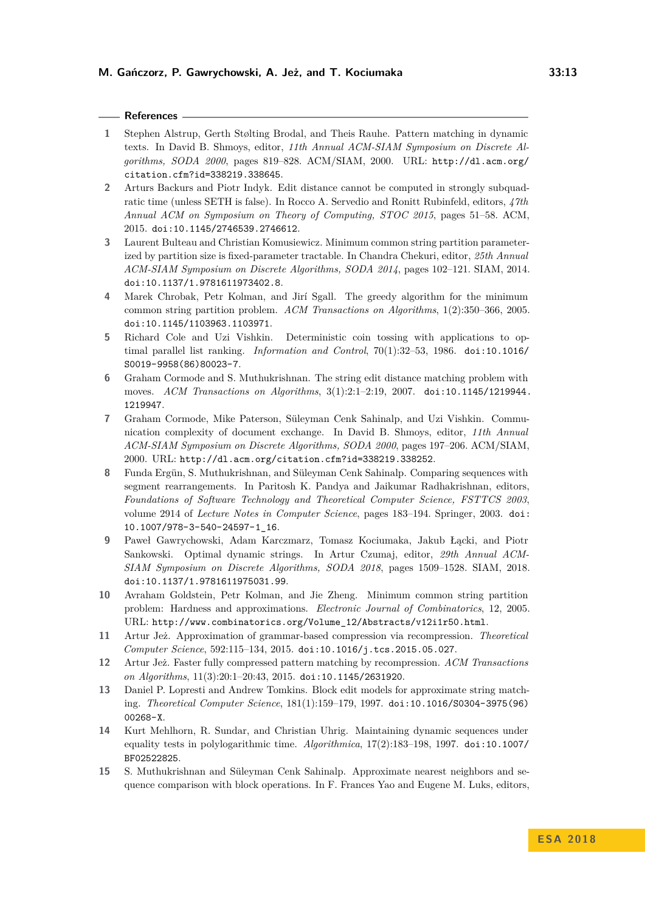### **References**

- <span id="page-12-7"></span>**1** Stephen Alstrup, Gerth Stølting Brodal, and Theis Rauhe. Pattern matching in dynamic texts. In David B. Shmoys, editor, *11th Annual ACM-SIAM Symposium on Discrete Algorithms, SODA 2000*, pages 819–828. ACM/SIAM, 2000. URL: [http://dl.acm.org/](http://dl.acm.org/citation.cfm?id=338219.338645) [citation.cfm?id=338219.338645](http://dl.acm.org/citation.cfm?id=338219.338645).
- <span id="page-12-0"></span>**2** Arturs Backurs and Piotr Indyk. Edit distance cannot be computed in strongly subquadratic time (unless SETH is false). In Rocco A. Servedio and Ronitt Rubinfeld, editors, *47th Annual ACM on Symposium on Theory of Computing, STOC 2015*, pages 51–58. ACM, 2015. [doi:10.1145/2746539.2746612](http://dx.doi.org/10.1145/2746539.2746612).
- <span id="page-12-9"></span>**3** Laurent Bulteau and Christian Komusiewicz. Minimum common string partition parameterized by partition size is fixed-parameter tractable. In Chandra Chekuri, editor, *25th Annual ACM-SIAM Symposium on Discrete Algorithms, SODA 2014*, pages 102–121. SIAM, 2014. [doi:10.1137/1.9781611973402.8](http://dx.doi.org/10.1137/1.9781611973402.8).
- <span id="page-12-11"></span>**4** Marek Chrobak, Petr Kolman, and Jirí Sgall. The greedy algorithm for the minimum common string partition problem. *ACM Transactions on Algorithms*, 1(2):350–366, 2005. [doi:10.1145/1103963.1103971](http://dx.doi.org/10.1145/1103963.1103971).
- <span id="page-12-5"></span>**5** Richard Cole and Uzi Vishkin. Deterministic coin tossing with applications to optimal parallel list ranking. *Information and Control*, 70(1):32–53, 1986. [doi:10.1016/](http://dx.doi.org/10.1016/S0019-9958(86)80023-7) [S0019-9958\(86\)80023-7](http://dx.doi.org/10.1016/S0019-9958(86)80023-7).
- <span id="page-12-3"></span>**6** Graham Cormode and S. Muthukrishnan. The string edit distance matching problem with moves. *ACM Transactions on Algorithms*, 3(1):2:1–2:19, 2007. [doi:10.1145/1219944.](http://dx.doi.org/10.1145/1219944.1219947) [1219947](http://dx.doi.org/10.1145/1219944.1219947).
- <span id="page-12-2"></span>**7** Graham Cormode, Mike Paterson, Süleyman Cenk Sahinalp, and Uzi Vishkin. Communication complexity of document exchange. In David B. Shmoys, editor, *11th Annual ACM-SIAM Symposium on Discrete Algorithms, SODA 2000*, pages 197–206. ACM/SIAM, 2000. URL: <http://dl.acm.org/citation.cfm?id=338219.338252>.
- <span id="page-12-8"></span>**8** Funda Ergün, S. Muthukrishnan, and Süleyman Cenk Sahinalp. Comparing sequences with segment rearrangements. In Paritosh K. Pandya and Jaikumar Radhakrishnan, editors, *Foundations of Software Technology and Theoretical Computer Science, FSTTCS 2003*, volume 2914 of *Lecture Notes in Computer Science*, pages 183–194. Springer, 2003. [doi:](http://dx.doi.org/10.1007/978-3-540-24597-1_16) [10.1007/978-3-540-24597-1\\_16](http://dx.doi.org/10.1007/978-3-540-24597-1_16).
- <span id="page-12-13"></span>**9** Paweł Gawrychowski, Adam Karczmarz, Tomasz Kociumaka, Jakub Łącki, and Piotr Sankowski. Optimal dynamic strings. In Artur Czumaj, editor, *29th Annual ACM-SIAM Symposium on Discrete Algorithms, SODA 2018*, pages 1509–1528. SIAM, 2018. [doi:10.1137/1.9781611975031.99](http://dx.doi.org/10.1137/1.9781611975031.99).
- <span id="page-12-10"></span>**10** Avraham Goldstein, Petr Kolman, and Jie Zheng. Minimum common string partition problem: Hardness and approximations. *Electronic Journal of Combinatorics*, 12, 2005. URL: [http://www.combinatorics.org/Volume\\_12/Abstracts/v12i1r50.html](http://www.combinatorics.org/Volume_12/Abstracts/v12i1r50.html).
- <span id="page-12-12"></span>**11** Artur Jeż. Approximation of grammar-based compression via recompression. *Theoretical Computer Science*, 592:115–134, 2015. [doi:10.1016/j.tcs.2015.05.027](http://dx.doi.org/10.1016/j.tcs.2015.05.027).
- <span id="page-12-14"></span>**12** Artur Jeż. Faster fully compressed pattern matching by recompression. *ACM Transactions on Algorithms*, 11(3):20:1–20:43, 2015. [doi:10.1145/2631920](http://dx.doi.org/10.1145/2631920).
- <span id="page-12-1"></span>**13** Daniel P. Lopresti and Andrew Tomkins. Block edit models for approximate string matching. *Theoretical Computer Science*, 181(1):159–179, 1997. [doi:10.1016/S0304-3975\(96\)](http://dx.doi.org/10.1016/S0304-3975(96)00268-X) [00268-X](http://dx.doi.org/10.1016/S0304-3975(96)00268-X).
- <span id="page-12-6"></span>**14** Kurt Mehlhorn, R. Sundar, and Christian Uhrig. Maintaining dynamic sequences under equality tests in polylogarithmic time. *Algorithmica*, 17(2):183–198, 1997. [doi:10.1007/](http://dx.doi.org/10.1007/BF02522825) [BF02522825](http://dx.doi.org/10.1007/BF02522825).
- <span id="page-12-4"></span>**15** S. Muthukrishnan and Süleyman Cenk Sahinalp. Approximate nearest neighbors and sequence comparison with block operations. In F. Frances Yao and Eugene M. Luks, editors,